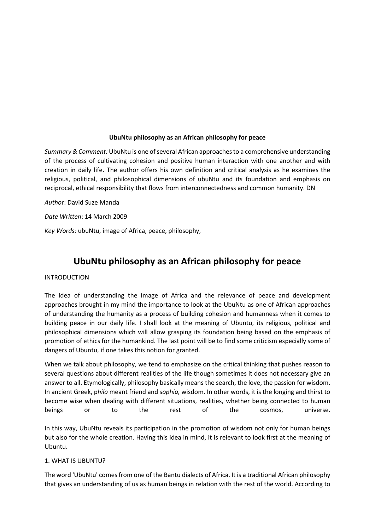### **UbuNtu philosophy as an African philosophy for peace**

*Summary & Comment:* UbuNtu is one of several African approaches to a comprehensive understanding of the process of cultivating cohesion and positive human interaction with one another and with creation in daily life. The author offers his own definition and critical analysis as he examines the religious, political, and philosophical dimensions of ubuNtu and its foundation and emphasis on reciprocal, ethical responsibility that flows from interconnectedness and common humanity. DN

*Autho*r: David Suze Manda

*Date Written*: 14 March 2009

*Key Words:* ubuNtu, image of Africa, peace, philosophy,

# **UbuNtu philosophy as an African philosophy for peace**

#### INTRODUCTION

The idea of understanding the image of Africa and the relevance of peace and development approaches brought in my mind the importance to look at the UbuNtu as one of African approaches of understanding the humanity as a process of building cohesion and humanness when it comes to building peace in our daily life. I shall look at the meaning of Ubuntu, its religious, political and philosophical dimensions which will allow grasping its foundation being based on the emphasis of promotion of ethics for the humankind. The last point will be to find some criticism especially some of dangers of Ubuntu, if one takes this notion for granted.

When we talk about philosophy, we tend to emphasize on the critical thinking that pushes reason to several questions about different realities of the life though sometimes it does not necessary give an answer to all. Etymologically, philosophy basically means the search, the love, the passion for wisdom. In ancient Greek, p*hilo* meant friend and s*ophia,* wisdom. In other words, it is the longing and thirst to become wise when dealing with different situations, realities, whether being connected to human beings or to the rest of the cosmos, universe.

In this way, UbuNtu reveals its participation in the promotion of wisdom not only for human beings but also for the whole creation. Having this idea in mind, it is relevant to look first at the meaning of Ubuntu.

#### 1. WHAT IS UBUNTU?

The word 'UbuNtu' comes from one of the Bantu dialects of Africa. It is a traditional African philosophy that gives an understanding of us as human beings in relation with the rest of the world. According to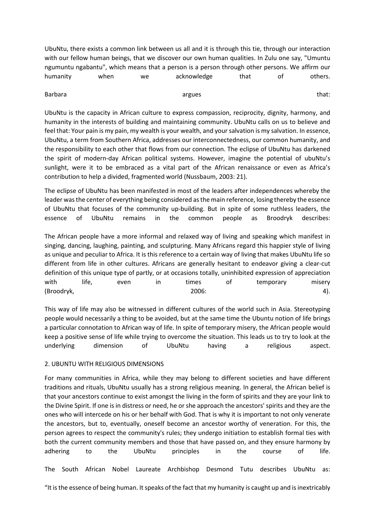UbuNtu, there exists a common link between us all and it is through this tie, through our interaction with our fellow human beings, that we discover our own human qualities. In Zulu one say, "Umuntu ngumuntu ngabantu", which means that a person is a person through other persons. We affirm our humanity when we acknowledge that of others.

#### Barbara argues argues that:

UbuNtu is the capacity in African culture to express compassion, reciprocity, dignity, harmony, and humanity in the interests of building and maintaining community. UbuNtu calls on us to believe and feel that: Your pain is my pain, my wealth is your wealth, and your salvation is my salvation. In essence, UbuNtu, a term from Southern Africa, addresses our interconnectedness, our common humanity, and the responsibility to each other that flows from our connection. The eclipse of UbuNtu has darkened the spirit of modern-day African political systems. However, imagine the potential of ubuNtu's sunlight, were it to be embraced as a vital part of the African renaissance or even as Africa's contribution to help a divided, fragmented world (Nussbaum, 2003: 21).

The eclipse of UbuNtu has been manifested in most of the leaders after independences whereby the leader was the center of everything being considered as the main reference, losing thereby the essence of UbuNtu that focuses of the community up-building. But in spite of some ruthless leaders, the essence of UbuNtu remains in the common people as Broodryk describes:

The African people have a more informal and relaxed way of living and speaking which manifest in singing, dancing, laughing, painting, and sculpturing. Many Africans regard this happier style of living as unique and peculiar to Africa. It is this reference to a certain way of living that makes UbuNtu life so different from life in other cultures. Africans are generally hesitant to endeavor giving a clear-cut definition of this unique type of partly, or at occasions totally, uninhibited expression of appreciation with life, even in times of temporary misery (Broodryk, 2006: 4).

This way of life may also be witnessed in different cultures of the world such in Asia. Stereotyping people would necessarily a thing to be avoided, but at the same time the Ubuntu notion of life brings a particular connotation to African way of life. In spite of temporary misery, the African people would keep a positive sense of life while trying to overcome the situation. This leads us to try to look at the underlying dimension of UbuNtu having a religious aspect.

## 2. UBUNTU WITH RELIGIOUS DIMENSIONS

For many communities in Africa, while they may belong to different societies and have different traditions and rituals, UbuNtu usually has a strong religious meaning. In general, the African belief is that your ancestors continue to exist amongst the living in the form of spirits and they are your link to the Divine Spirit. If one is in distress or need, he or she approach the ancestors' spirits and they are the ones who will intercede on his or her behalf with God. That is why it is important to not only venerate the ancestors, but to, eventually, oneself become an ancestor worthy of veneration. For this, the person agrees to respect the community's rules; they undergo initiation to establish formal ties with both the current community members and those that have passed on, and they ensure harmony by adhering to the UbuNtu principles in the course of life.

The South African Nobel Laureate Archbishop Desmond Tutu describes UbuNtu as:

"It is the essence of being human. It speaks of the fact that my humanity is caught up and is inextricably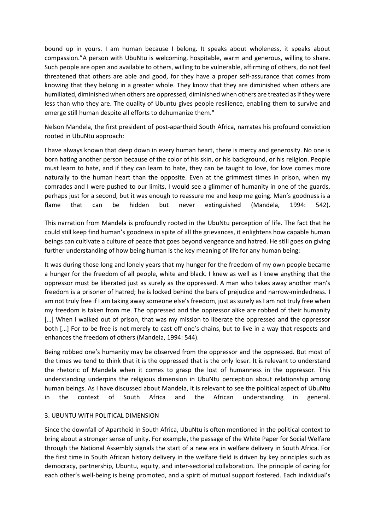bound up in yours. I am human because I belong. It speaks about wholeness, it speaks about compassion."A person with UbuNtu is welcoming, hospitable, warm and generous, willing to share. Such people are open and available to others, willing to be vulnerable, affirming of others, do not feel threatened that others are able and good, for they have a proper self-assurance that comes from knowing that they belong in a greater whole. They know that they are diminished when others are humiliated, diminished when others are oppressed, diminished when others are treated as if they were less than who they are. The quality of Ubuntu gives people resilience, enabling them to survive and emerge still human despite all efforts to dehumanize them."

Nelson Mandela, the first president of post-apartheid South Africa, narrates his profound conviction rooted in UbuNtu approach:

I have always known that deep down in every human heart, there is mercy and generosity. No one is born hating another person because of the color of his skin, or his background, or his religion. People must learn to hate, and if they can learn to hate, they can be taught to love, for love comes more naturally to the human heart than the opposite. Even at the grimmest times in prison, when my comrades and I were pushed to our limits, I would see a glimmer of humanity in one of the guards, perhaps just for a second, but it was enough to reassure me and keep me going. Man's goodness is a flame that can be hidden but never extinguished (Mandela, 1994: 542).

This narration from Mandela is profoundly rooted in the UbuNtu perception of life. The fact that he could still keep find human's goodness in spite of all the grievances, it enlightens how capable human beings can cultivate a culture of peace that goes beyond vengeance and hatred. He still goes on giving further understanding of how being human is the key meaning of life for any human being:

It was during those long and lonely years that my hunger for the freedom of my own people became a hunger for the freedom of all people, white and black. I knew as well as I knew anything that the oppressor must be liberated just as surely as the oppressed. A man who takes away another man's freedom is a prisoner of hatred; he is locked behind the bars of prejudice and narrow-mindedness. I am not truly free if I am taking away someone else's freedom, just as surely as I am not truly free when my freedom is taken from me. The oppressed and the oppressor alike are robbed of their humanity [...] When I walked out of prison, that was my mission to liberate the oppressed and the oppressor both […] For to be free is not merely to cast off one's chains, but to live in a way that respects and enhances the freedom of others (Mandela, 1994: 544).

Being robbed one's humanity may be observed from the oppressor and the oppressed. But most of the times we tend to think that it is the oppressed that is the only loser. It is relevant to understand the rhetoric of Mandela when it comes to grasp the lost of humanness in the oppressor. This understanding underpins the religious dimension in UbuNtu perception about relationship among human beings. As I have discussed about Mandela, it is relevant to see the political aspect of UbuNtu in the context of South Africa and the African understanding in general.

#### 3. UBUNTU WITH POLITICAL DIMENSION

Since the downfall of Apartheid in South Africa, UbuNtu is often mentioned in the political context to bring about a stronger sense of unity. For example, the passage of the White Paper for Social Welfare through the National Assembly signals the start of a new era in welfare delivery in South Africa. For the first time in South African history delivery in the welfare field is driven by key principles such as democracy, partnership, Ubuntu, equity, and inter-sectorial collaboration. The principle of caring for each other's well-being is being promoted, and a spirit of mutual support fostered. Each individual's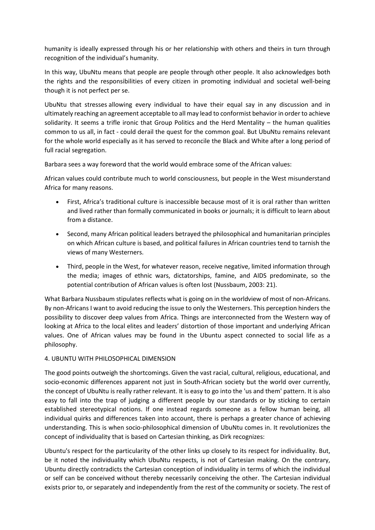humanity is ideally expressed through his or her relationship with others and theirs in turn through recognition of the individual's humanity.

In this way, UbuNtu means that people are people through other people. It also acknowledges both the rights and the responsibilities of every citizen in promoting individual and societal well-being though it is not perfect per se.

UbuNtu that stresses allowing every individual to have their equal say in any discussion and in ultimately reaching an agreement acceptable to all may lead to conformist behavior in order to achieve solidarity. It seems a trifle ironic that Group Politics and the Herd Mentality – the human qualities common to us all, in fact - could derail the quest for the common goal. But UbuNtu remains relevant for the whole world especially as it has served to reconcile the Black and White after a long period of full racial segregation.

Barbara sees a way foreword that the world would embrace some of the African values:

African values could contribute much to world consciousness, but people in the West misunderstand Africa for many reasons.

- First, Africa's traditional culture is inaccessible because most of it is oral rather than written and lived rather than formally communicated in books or journals; it is difficult to learn about from a distance.
- Second, many African political leaders betrayed the philosophical and humanitarian principles on which African culture is based, and political failures in African countries tend to tarnish the views of many Westerners.
- Third, people in the West, for whatever reason, receive negative, limited information through the media; images of ethnic wars, dictatorships, famine, and AIDS predominate, so the potential contribution of African values is often lost (Nussbaum, 2003: 21).

What Barbara Nussbaum stipulates reflects what is going on in the worldview of most of non-Africans. By non-Africans I want to avoid reducing the issue to only the Westerners. This perception hinders the possibility to discover deep values from Africa. Things are interconnected from the Western way of looking at Africa to the local elites and leaders' distortion of those important and underlying African values. One of African values may be found in the Ubuntu aspect connected to social life as a philosophy.

## 4. UBUNTU WITH PHILOSOPHICAL DIMENSION

The good points outweigh the shortcomings. Given the vast racial, cultural, religious, educational, and socio-economic differences apparent not just in South-African society but the world over currently, the concept of UbuNtu is really rather relevant. It is easy to go into the 'us and them' pattern. It is also easy to fall into the trap of judging a different people by our standards or by sticking to certain established stereotypical notions. If one instead regards someone as a fellow human being, all individual quirks and differences taken into account, there is perhaps a greater chance of achieving understanding. This is when socio-philosophical dimension of UbuNtu comes in. It revolutionizes the concept of individuality that is based on Cartesian thinking, as Dirk recognizes:

Ubuntu's respect for the particularity of the other links up closely to its respect for individuality. But, be it noted the individuality which UbuNtu respects, is not of Cartesian making. On the contrary, Ubuntu directly contradicts the Cartesian conception of individuality in terms of which the individual or self can be conceived without thereby necessarily conceiving the other. The Cartesian individual exists prior to, or separately and independently from the rest of the community or society. The rest of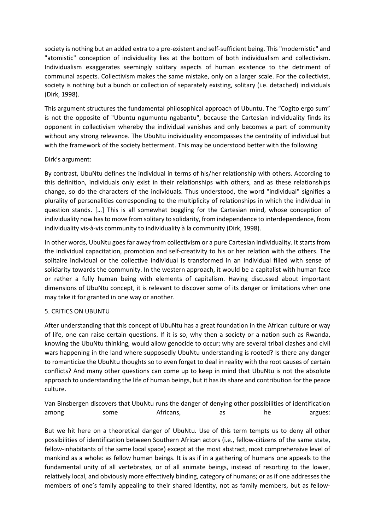society is nothing but an added extra to a pre-existent and self-sufficient being. This "modernistic" and "atomistic" conception of individuality lies at the bottom of both individualism and collectivism. Individualism exaggerates seemingly solitary aspects of human existence to the detriment of communal aspects. Collectivism makes the same mistake, only on a larger scale. For the collectivist, society is nothing but a bunch or collection of separately existing, solitary (i.e. detached) individuals (Dirk, 1998).

This argument structures the fundamental philosophical approach of Ubuntu. The "Cogito ergo sum" is not the opposite of "Ubuntu ngumuntu ngabantu", because the Cartesian individuality finds its opponent in collectivism whereby the individual vanishes and only becomes a part of community without any strong relevance. The UbuNtu individuality encompasses the centrality of individual but with the framework of the society betterment. This may be understood better with the following

## Dirk's argument:

By contrast, UbuNtu defines the individual in terms of his/her relationship with others. According to this definition, individuals only exist in their relationships with others, and as these relationships change, so do the characters of the individuals. Thus understood, the word "individual" signifies a plurality of personalities corresponding to the multiplicity of relationships in which the individual in question stands. […] This is all somewhat boggling for the Cartesian mind, whose conception of individuality now has to move from solitary to solidarity, from independence to interdependence, from individuality vis-à-vis community to individuality à la community (Dirk, 1998).

In other words, UbuNtu goes far away from collectivism or a pure Cartesian individuality. It starts from the individual capacitation, promotion and self-creativity to his or her relation with the others. The solitaire individual or the collective individual is transformed in an individual filled with sense of solidarity towards the community. In the western approach, it would be a capitalist with human face or rather a fully human being with elements of capitalism. Having discussed about important dimensions of UbuNtu concept, it is relevant to discover some of its danger or limitations when one may take it for granted in one way or another.

#### 5. CRITICS ON UBUNTU

After understanding that this concept of UbuNtu has a great foundation in the African culture or way of life, one can raise certain questions. If it is so, why then a society or a nation such as Rwanda, knowing the UbuNtu thinking, would allow genocide to occur; why are several tribal clashes and civil wars happening in the land where supposedly UbuNtu understanding is rooted? Is there any danger to romanticize the UbuNtu thoughts so to even forget to deal in reality with the root causes of certain conflicts? And many other questions can come up to keep in mind that UbuNtu is not the absolute approach to understanding the life of human beings, but it has its share and contribution for the peace culture.

|       |      |           |    |    | Van Binsbergen discovers that UbuNtu runs the danger of denying other possibilities of identification |
|-------|------|-----------|----|----|-------------------------------------------------------------------------------------------------------|
| among | some | Africans. | as | he | argues:                                                                                               |

But we hit here on a theoretical danger of UbuNtu. Use of this term tempts us to deny all other possibilities of identification between Southern African actors (i.e., fellow-citizens of the same state, fellow-inhabitants of the same local space) except at the most abstract, most comprehensive level of mankind as a whole: as fellow human beings. It is as if in a gathering of humans one appeals to the fundamental unity of all vertebrates, or of all animate beings, instead of resorting to the lower, relatively local, and obviously more effectively binding, category of humans; or as if one addresses the members of one's family appealing to their shared identity, not as family members, but as fellow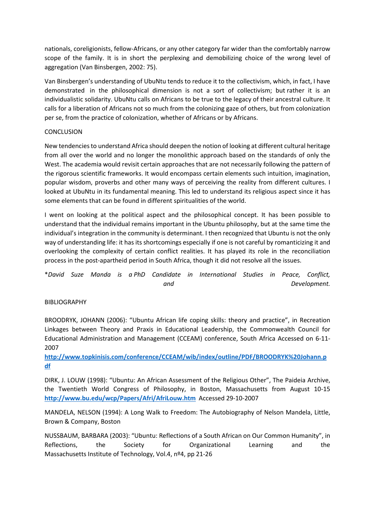nationals, coreligionists, fellow-Africans, or any other category far wider than the comfortably narrow scope of the family. It is in short the perplexing and demobilizing choice of the wrong level of aggregation (Van Binsbergen, 2002: 75).

Van Binsbergen's understanding of UbuNtu tends to reduce it to the collectivism, which, in fact, I have demonstrated in the philosophical dimension is not a sort of collectivism; but rather it is an individualistic solidarity. UbuNtu calls on Africans to be true to the legacy of their ancestral culture. It calls for a liberation of Africans not so much from the colonizing gaze of others, but from colonization per se, from the practice of colonization, whether of Africans or by Africans.

#### **CONCLUSION**

New tendencies to understand Africa should deepen the notion of looking at different cultural heritage from all over the world and no longer the monolithic approach based on the standards of only the West. The academia would revisit certain approaches that are not necessarily following the pattern of the rigorous scientific frameworks. It would encompass certain elements such intuition, imagination, popular wisdom, proverbs and other many ways of perceiving the reality from different cultures. I looked at UbuNtu in its fundamental meaning. This led to understand its religious aspect since it has some elements that can be found in different spiritualities of the world.

I went on looking at the political aspect and the philosophical concept. It has been possible to understand that the individual remains important in the Ubuntu philosophy, but at the same time the individual's integration in the community is determinant. I then recognized that Ubuntu is not the only way of understanding life: it has its shortcomings especially if one is not careful by romanticizing it and overlooking the complexity of certain conflict realities. It has played its role in the reconciliation process in the post-apartheid period in South Africa, though it did not resolve all the issues.

\**David Suze Manda is a PhD Candidate in International Studies in Peace, Conflict, and Development.* 

#### BIBLIOGRAPHY

BROODRYK, JOHANN (2006): "Ubuntu African life coping skills: theory and practice", in Recreation Linkages between Theory and Praxis in Educational Leadership, the Commonwealth Council for Educational Administration and Management (CCEAM) conference, South Africa Accessed on 6-11- 2007

**[http://www.topkinisis.com/conference/CCEAM/wib/index/outline/PDF/BROODRYK%20Johann.p](http://www.topkinisis.com/conference/CCEAM/wib/index/outline/PDF/BROODRYK%20Johann.pdf) [df](http://www.topkinisis.com/conference/CCEAM/wib/index/outline/PDF/BROODRYK%20Johann.pdf)**

DIRK, J. LOUW (1998): "Ubuntu: An African Assessment of the Religious Other", The Paideia Archive, the Twentieth World Congress of Philosophy, in Boston, Massachusetts from August 10-15 **<http://www.bu.edu/wcp/Papers/Afri/AfriLouw.htm>** Accessed 29-10-2007

MANDELA, NELSON (1994): A Long Walk to Freedom: The Autobiography of Nelson Mandela, Little, Brown & Company, Boston

NUSSBAUM, BARBARA (2003): "Ubuntu: Reflections of a South African on Our Common Humanity", in Reflections, the Society for Organizational Learning and the Massachusetts Institute of Technology, Vol.4, nº4, pp 21-26